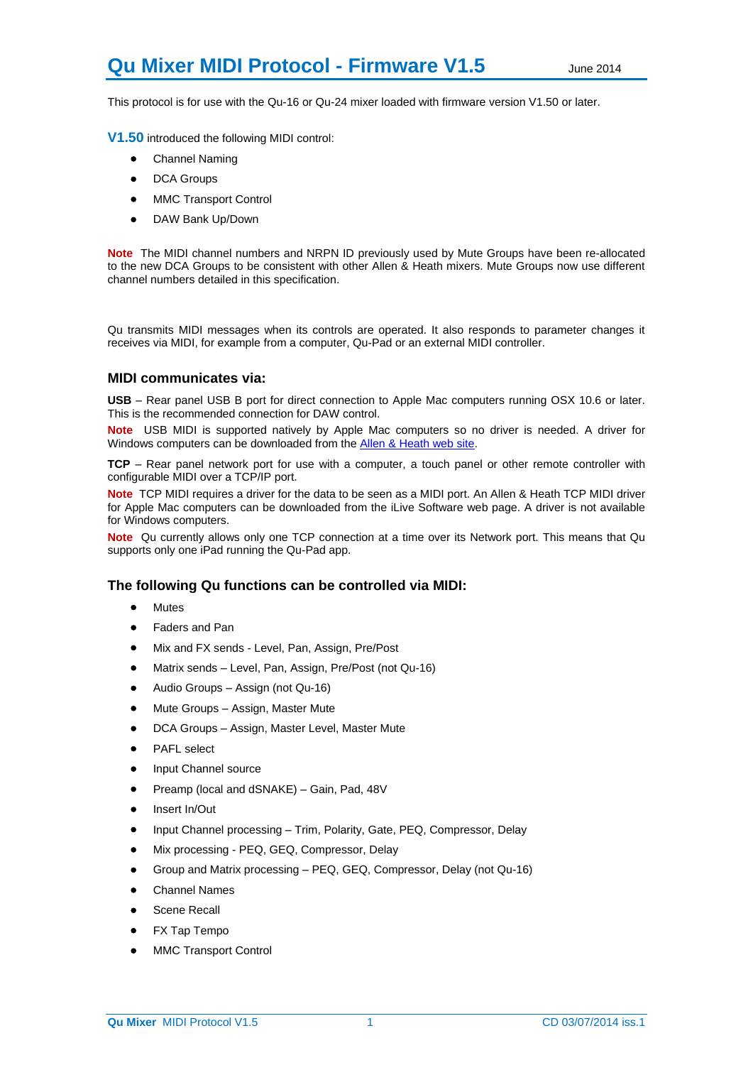# **Qu Mixer MIDI Protocol - Firmware V1.5** June 2014

This protocol is for use with the Qu-16 or Qu-24 mixer loaded with firmware version V1.50 or later.

**V1.50** introduced the following MIDI control:

- Channel Naming
- DCA Groups
- MMC Transport Control
- DAW Bank Up/Down

**Note** The MIDI channel numbers and NRPN ID previously used by Mute Groups have been re-allocated to the new DCA Groups to be consistent with other Allen & Heath mixers. Mute Groups now use different channel numbers detailed in this specification.

Qu transmits MIDI messages when its controls are operated. It also responds to parameter changes it receives via MIDI, for example from a computer, Qu-Pad or an external MIDI controller.

#### **MIDI communicates via:**

**USB** – Rear panel USB B port for direct connection to Apple Mac computers running OSX 10.6 or later. This is the recommended connection for DAW control.

**Note** USB MIDI is supported natively by Apple Mac computers so no driver is needed. A driver for Windows computers can be downloaded from th[e Allen & Heath web site.](http://www.allen-heath.com/ahproducts/qu-16/)

**TCP** – Rear panel network port for use with a computer, a touch panel or other remote controller with configurable MIDI over a TCP/IP port.

**Note** TCP MIDI requires a driver for the data to be seen as a MIDI port. An Allen & Heath TCP MIDI driver for Apple Mac computers can be downloaded from the iLive Software web page. A driver is not available for Windows computers.

**Note** Qu currently allows only one TCP connection at a time over its Network port. This means that Qu supports only one iPad running the Qu-Pad app.

# **The following Qu functions can be controlled via MIDI:**

- **•** Mutes
- Faders and Pan
- Mix and FX sends Level, Pan, Assign, Pre/Post
- Matrix sends Level, Pan, Assign, Pre/Post (not Qu-16)
- Audio Groups Assign (not Qu-16)
- Mute Groups Assign, Master Mute
- DCA Groups Assign, Master Level, Master Mute
- PAFL select
- Input Channel source
- Preamp (local and dSNAKE) Gain, Pad, 48V
- Insert In/Out
- Input Channel processing Trim, Polarity, Gate, PEQ, Compressor, Delay
- Mix processing PEQ, GEQ, Compressor, Delay
- Group and Matrix processing PEQ, GEQ, Compressor, Delay (not Qu-16)
- Channel Names
- Scene Recall
- FX Tap Tempo
- MMC Transport Control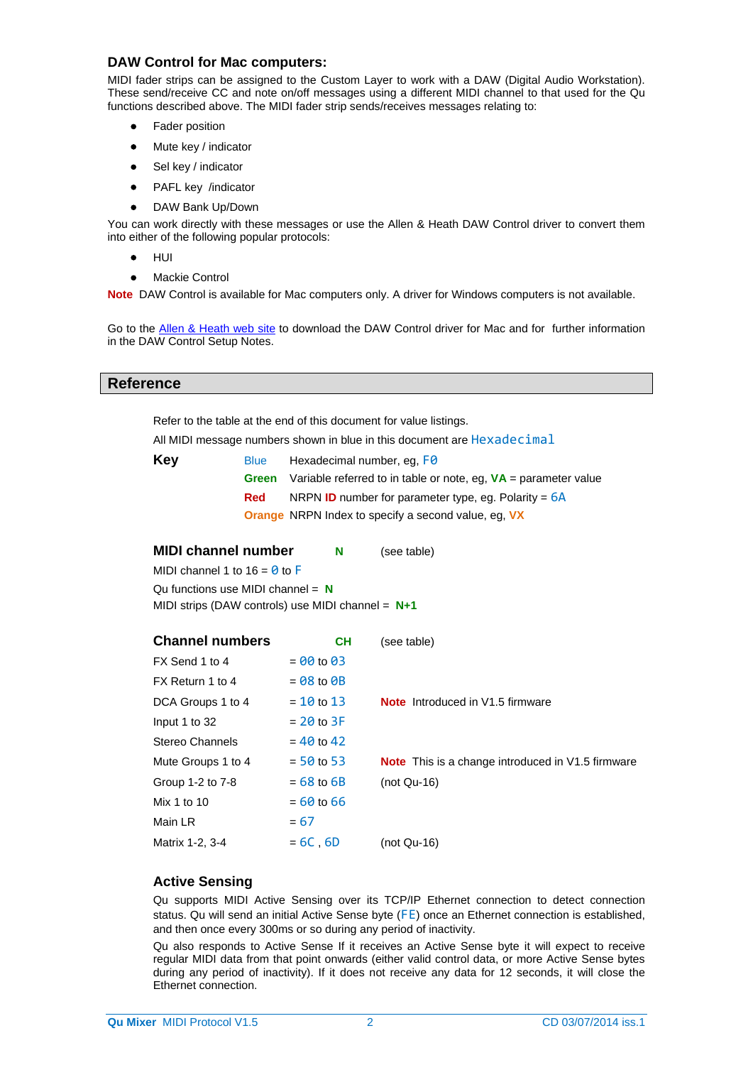# **DAW Control for Mac computers:**

MIDI fader strips can be assigned to the Custom Layer to work with a DAW (Digital Audio Workstation). These send/receive CC and note on/off messages using a different MIDI channel to that used for the Qu functions described above. The MIDI fader strip sends/receives messages relating to:

- Fader position
- Mute key / indicator
- Sel key / indicator
- PAFL key /indicator
- DAW Bank Up/Down

You can work directly with these messages or use the Allen & Heath DAW Control driver to convert them into either of the following popular protocols:

- $\bullet$  HUI
- Mackie Control

**Note** DAW Control is available for Mac computers only. A driver for Windows computers is not available.

Go to the [Allen & Heath web site](http://www.allen-heath.com/) to download the DAW Control driver for Mac and for further information in the DAW Control Setup Notes.

#### **Reference**

Refer to the table at the end of this document for value listings.

All MIDI message numbers shown in blue in this document are Hexadecimal

| Key | <b>Blue</b> | Hexadecimal number, eq. FO                                        |
|-----|-------------|-------------------------------------------------------------------|
|     | Green       | Variable referred to in table or note, eg, $VA =$ parameter value |
|     | <b>Red</b>  | NRPN <b>ID</b> number for parameter type, eq. Polarity = $6A$     |
|     |             | <b>Orange</b> NRPN Index to specify a second value, eq. VX        |

**MIDI channel number N** (see table) MIDI channel 1 to  $16 = 0$  to F Qu functions use MIDI channel = **N** MIDI strips (DAW controls) use MIDI channel = **N+1**

| <b>Channel numbers</b> | <b>CH</b>      | (see table)                                              |
|------------------------|----------------|----------------------------------------------------------|
| FX Send 1 to 4         | $= 00$ to 03   |                                                          |
| FX Return 1 to 4       | $= 08$ to $0B$ |                                                          |
| DCA Groups 1 to 4      | $= 10$ to 13   | <b>Note</b> Introduced in V1.5 firmware                  |
| Input 1 to 32          | $= 20$ to $3F$ |                                                          |
| Stereo Channels        | $= 40$ to 42   |                                                          |
| Mute Groups 1 to 4     | $= 50$ to 53   | <b>Note</b> This is a change introduced in V1.5 firmware |
| Group 1-2 to 7-8       | $= 68$ to 6B   | $(not Qu-16)$                                            |
| Mix 1 to 10            | $= 60$ to 66   |                                                          |
| Main LR                | $= 67$         |                                                          |
| Matrix 1-2, 3-4        | $= 6C, 6D$     | $(not Qu-16)$                                            |

# **Active Sensing**

Qu supports MIDI Active Sensing over its TCP/IP Ethernet connection to detect connection status. Qu will send an initial Active Sense byte (FE) once an Ethernet connection is established, and then once every 300ms or so during any period of inactivity.

Qu also responds to Active Sense If it receives an Active Sense byte it will expect to receive regular MIDI data from that point onwards (either valid control data, or more Active Sense bytes during any period of inactivity). If it does not receive any data for 12 seconds, it will close the Ethernet connection.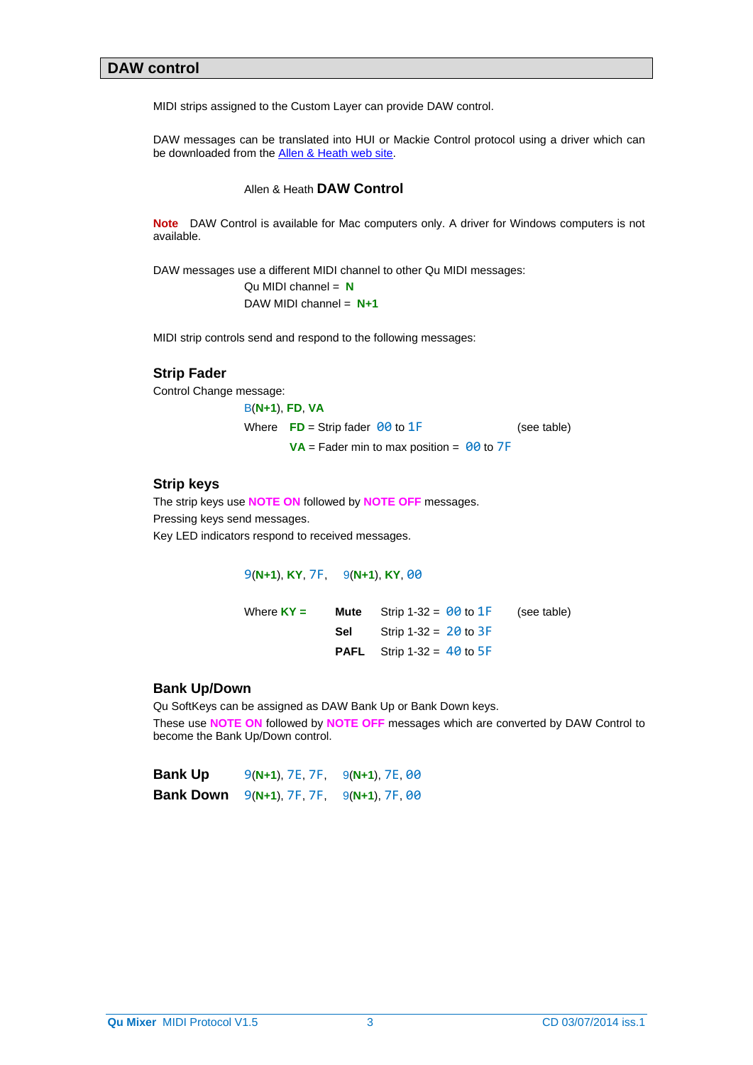### **DAW control**

MIDI strips assigned to the Custom Layer can provide DAW control.

DAW messages can be translated into HUI or Mackie Control protocol using a driver which can be downloaded from the **Allen & Heath web site**.

#### Allen & Heath **DAW Control**

**Note** DAW Control is available for Mac computers only. A driver for Windows computers is not available.

DAW messages use a different MIDI channel to other Qu MIDI messages:

Qu MIDI channel = **N** DAW MIDI channel = **N+1**

MIDI strip controls send and respond to the following messages:

# **Strip Fader**

Control Change message:

```
B(N+1), FD, VA
Where \overline{FD} = Strip fader \theta\theta to 1\overline{F} (see table)
         VA = Fader min to max position = 00 to 7F
```
#### **Strip keys**

The strip keys use **NOTE ON** followed by **NOTE OFF** messages. Pressing keys send messages. Key LED indicators respond to received messages.

9(**N+1**), **KY**, 7F, 9(**N+1**), **KY**, 00

| Where $KY =$ | <b>Mute</b> Strip 1-32 = $\theta\theta$ to 1F (see table) |  |
|--------------|-----------------------------------------------------------|--|
|              | <b>Sel</b> Strip 1-32 = $20$ to $3F$                      |  |
|              | <b>PAFL</b> Strip 1-32 = $40$ to $5F$                     |  |

#### **Bank Up/Down**

Qu SoftKeys can be assigned as DAW Bank Up or Bank Down keys. These use **NOTE ON** followed by **NOTE OFF** messages which are converted by DAW Control to become the Bank Up/Down control.

| <b>Bank Up</b> | $9(N+1)$ , $7E$ , $7F$ , | 9(N+1), 7E, 00 |
|----------------|--------------------------|----------------|
| Bank Down      | $9(N+1), 7F, 7F,$        | 9(N+1), 7F, 00 |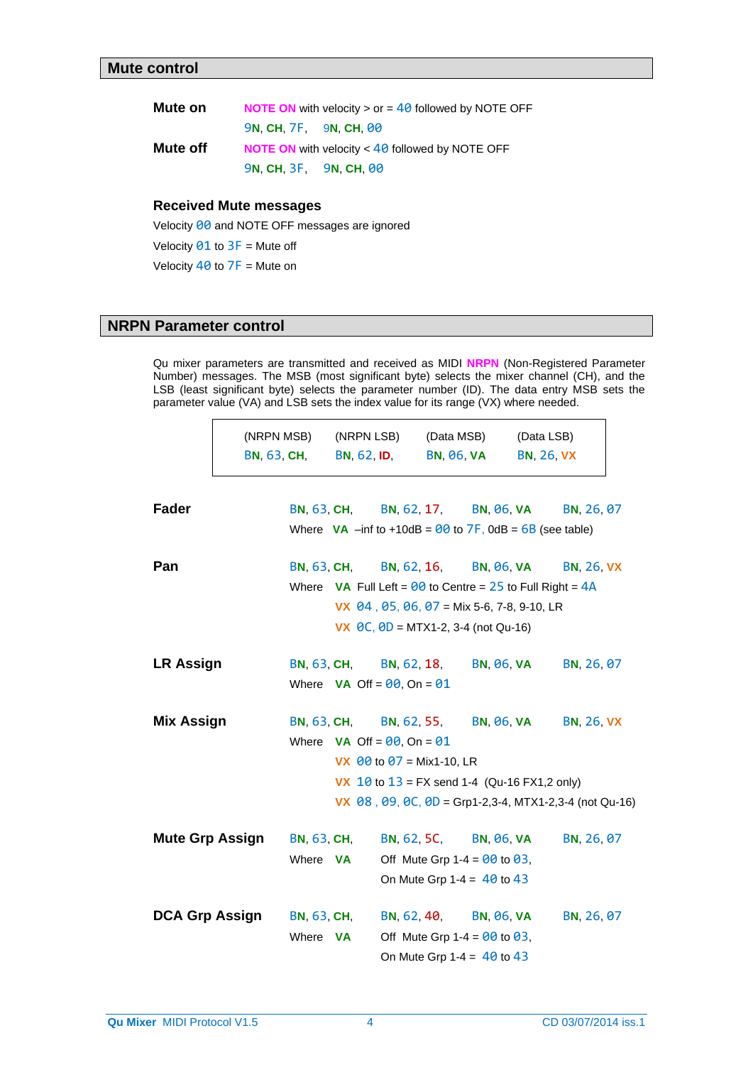| Mute on  |                               | <b>NOTE ON</b> with velocity $>$ or $=$ 40 followed by NOTE OFF |
|----------|-------------------------------|-----------------------------------------------------------------|
|          | <b>9N. CH. 7F. 9N. CH. 00</b> |                                                                 |
| Mute off |                               | <b>NOTE ON</b> with velocity $<$ 40 followed by NOTE OFF        |
|          | 9N, CH, 3F, 9N, CH, 00        |                                                                 |

# **Received Mute messages**

Velocity 00 and NOTE OFF messages are ignored

Velocity  $91$  to  $3F$  = Mute off

Velocity  $40$  to  $7F =$  Mute on

# **NRPN Parameter control**

Qu mixer parameters are transmitted and received as MIDI **NRPN** (Non-Registered Parameter Number) messages. The MSB (most significant byte) selects the mixer channel (CH), and the LSB (least significant byte) selects the parameter number (ID). The data entry MSB sets the parameter value (VA) and LSB sets the index value for its range (VX) where needed.

|                        | (NRPN MSB)<br><b>BN, 63, CH,</b> |                    | (NRPN LSB)<br><b>BN, 62, ID,</b>                                           | (Data MSB)<br><b>BN, 06, VA</b> |                                   | (Data LSB)<br><b>BN, 26, VX</b> |                                                              |
|------------------------|----------------------------------|--------------------|----------------------------------------------------------------------------|---------------------------------|-----------------------------------|---------------------------------|--------------------------------------------------------------|
| <b>Fader</b>           |                                  |                    | BN, 63, CH, BN, 62, 17, BN, 06, VA                                         |                                 |                                   |                                 | BN, 26, 07                                                   |
|                        |                                  |                    | Where $VA$ –inf to +10dB = $\theta\theta$ to $7F$ , 0dB = $6B$ (see table) |                                 |                                   |                                 |                                                              |
| Pan                    |                                  |                    | BN, 63, CH, BN, 62, 16, BN, 06, VA                                         |                                 |                                   |                                 | <b>BN, 26, VX</b>                                            |
|                        |                                  |                    | Where VA Full Left = $\theta\theta$ to Centre = 25 to Full Right = $4A$    |                                 |                                   |                                 |                                                              |
|                        |                                  |                    | VX $\,$ 04, 05, 06, 07 = Mix 5-6, 7-8, 9-10, LR                            |                                 |                                   |                                 |                                                              |
|                        |                                  |                    | <b>VX</b> $\theta C$ , $\theta D = MTX1-2$ , 3-4 (not Qu-16)               |                                 |                                   |                                 |                                                              |
| <b>LR Assign</b>       |                                  | <b>BN, 63, CH,</b> |                                                                            |                                 | BN, 62, 18, BN, 06, VA            |                                 | BN, 26, 07                                                   |
|                        |                                  |                    | Where $VA$ Off = $00$ , On = $01$                                          |                                 |                                   |                                 |                                                              |
| <b>Mix Assign</b>      |                                  | <b>BN, 63, CH,</b> |                                                                            |                                 | BN, 62, 55, BN, 06, VA            |                                 | <b>BN, 26, VX</b>                                            |
|                        |                                  |                    | Where $VA$ Off = $00$ , On = $01$                                          |                                 |                                   |                                 |                                                              |
|                        |                                  |                    | <b>VX</b> $\theta\theta$ to $\theta$ 7 = Mix1-10, LR                       |                                 |                                   |                                 |                                                              |
|                        |                                  |                    | <b>VX</b> 10 to $13 = FX$ send 1-4 (Qu-16 FX1,2 only)                      |                                 |                                   |                                 |                                                              |
|                        |                                  |                    |                                                                            |                                 |                                   |                                 | VX $\,$ 08 , 09, 0C, 0D = Grp1-2,3-4, MTX1-2,3-4 (not Qu-16) |
| <b>Mute Grp Assign</b> | <b>BN, 63, CH,</b>               |                    |                                                                            |                                 | BN, 62, 5C, BN, 06, VA            |                                 | BN, 26, 07                                                   |
|                        | Where <b>VA</b>                  |                    |                                                                            |                                 | Off Mute Grp 1-4 = $00$ to $03$ , |                                 |                                                              |
|                        |                                  |                    |                                                                            |                                 | On Mute Grp 1-4 = $40$ to 43      |                                 |                                                              |
| <b>DCA Grp Assign</b>  | <b>BN, 63, CH,</b>               |                    |                                                                            |                                 | BN, 62, 40, BN, 06, VA            |                                 | BN, 26, 07                                                   |
|                        | Where <b>VA</b>                  |                    |                                                                            |                                 | Off Mute Grp 1-4 = $90$ to 03,    |                                 |                                                              |
|                        |                                  |                    | On Mute Grp 1-4 = $40$ to 43                                               |                                 |                                   |                                 |                                                              |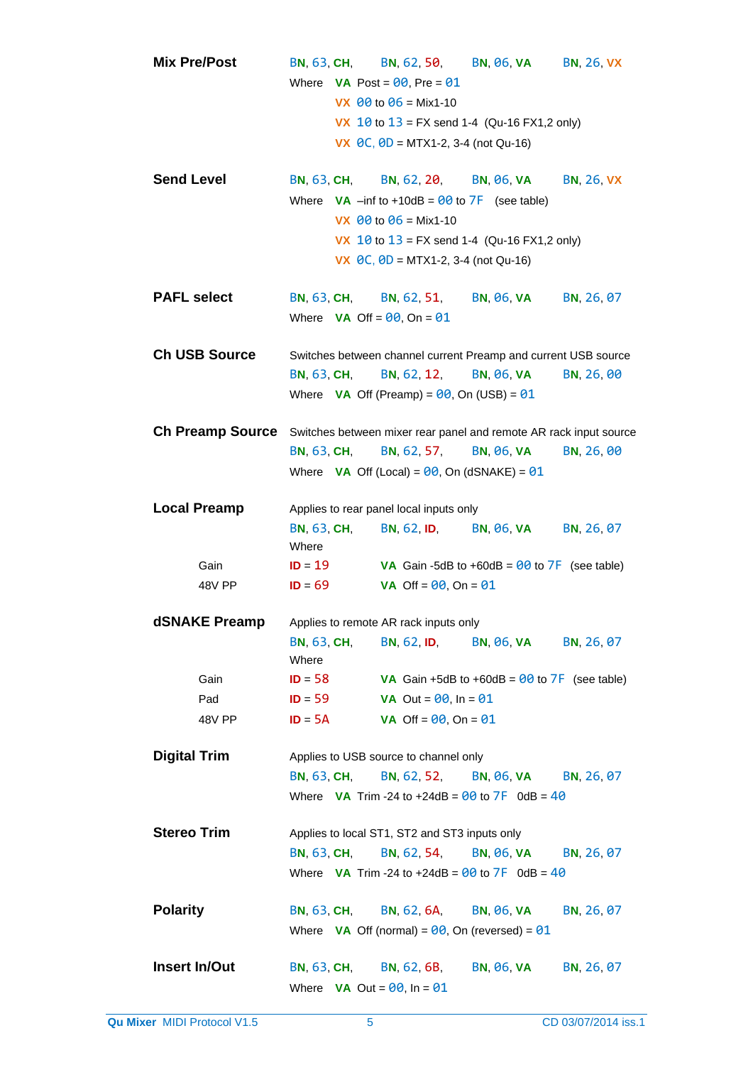| <b>Mix Pre/Post</b>     | <b>BN, 63, CH,</b> | <b>BN, 62, 50,</b>                                                             | <b>BN, 06, VA</b>                                | <b>BN, 26, VX</b> |
|-------------------------|--------------------|--------------------------------------------------------------------------------|--------------------------------------------------|-------------------|
|                         |                    | Where $VA \text{ Post} = \theta \theta$ , Pre = $\theta 1$                     |                                                  |                   |
|                         |                    | VX $\theta\theta$ to $\theta$ 6 = Mix1-10                                      |                                                  |                   |
|                         |                    | <b>VX</b> 10 to $13 = FX$ send 1-4 (Qu-16 FX1,2 only)                          |                                                  |                   |
|                         |                    | VX $\theta$ C, $\theta$ D = MTX1-2, 3-4 (not Qu-16)                            |                                                  |                   |
|                         |                    |                                                                                |                                                  |                   |
| <b>Send Level</b>       |                    | BN, 63, CH, BN, 62, 20,                                                        | <b>BN, 06, VA</b>                                | <b>BN, 26, VX</b> |
|                         |                    | Where $VA$ –inf to +10dB = $\theta\theta$ to $\overline{7}F$ (see table)       |                                                  |                   |
|                         |                    | VX $00$ to $06 = \text{Mix1-10}$                                               |                                                  |                   |
|                         |                    | <b>VX</b> 10 to $13 = FX$ send 1-4 (Qu-16 FX1,2 only)                          |                                                  |                   |
|                         |                    | <b>VX</b> $\theta C$ , $\theta D = MTX1-2$ , 3-4 (not Qu-16)                   |                                                  |                   |
| <b>PAFL select</b>      | <b>BN, 63, CH,</b> | <b>BN, 62, 51,</b>                                                             | <b>BN, 06, VA</b>                                | BN, 26, 07        |
|                         |                    | Where $VA$ Off = $00$ , On = $01$                                              |                                                  |                   |
|                         |                    |                                                                                |                                                  |                   |
| <b>Ch USB Source</b>    |                    | Switches between channel current Preamp and current USB source                 |                                                  |                   |
|                         | <b>BN, 63, CH,</b> | <b>BN, 62, 12,</b>                                                             | <b>BN, 06, VA</b>                                | BN, 26, 00        |
|                         |                    | Where $VA$ Off (Preamp) = $00$ , On (USB) = $01$                               |                                                  |                   |
|                         |                    |                                                                                |                                                  |                   |
| <b>Ch Preamp Source</b> |                    | Switches between mixer rear panel and remote AR rack input source              |                                                  |                   |
|                         | <b>BN, 63, CH,</b> | <b>BN, 62, 57,</b>                                                             | <b>BN, 06, VA</b>                                | BN, 26, 00        |
|                         |                    | Where <b>VA</b> Off (Local) = $\theta\theta$ , On (dSNAKE) = $\theta\theta$    |                                                  |                   |
| <b>Local Preamp</b>     |                    | Applies to rear panel local inputs only                                        |                                                  |                   |
|                         | <b>BN, 63, CH,</b> | <b>BN, 62, ID,</b>                                                             | <b>BN, 06, VA</b>                                | BN, 26, 07        |
|                         | Where              |                                                                                |                                                  |                   |
| Gain                    | $ID = 19$          |                                                                                | VA Gain -5dB to +60dB = $90$ to $7F$ (see table) |                   |
| 48V PP                  | $ID = 69$          | <b>VA</b> Off = $00$ , On = $01$                                               |                                                  |                   |
|                         |                    |                                                                                |                                                  |                   |
| dSNAKE Preamp           |                    | Applies to remote AR rack inputs only                                          |                                                  |                   |
|                         | <b>BN, 63, CH,</b> | <b>BN, 62, ID,</b>                                                             | <b>BN, 06, VA</b>                                | BN, 26, 07        |
|                         | Where              |                                                                                |                                                  |                   |
| Gain                    | $ID = 58$          |                                                                                | VA Gain +5dB to +60dB = $90$ to $7F$ (see table) |                   |
| Pad                     | $ID = 59$          | <b>VA</b> Out = $00$ , In = $01$                                               |                                                  |                   |
| <b>48V PP</b>           | $ID = 5A$          | VA Off = $00$ , On = $01$                                                      |                                                  |                   |
| <b>Digital Trim</b>     |                    | Applies to USB source to channel only                                          |                                                  |                   |
|                         | <b>BN, 63, CH,</b> |                                                                                | BN, 62, 52, BN, 06, VA                           | BN, 26, 07        |
|                         |                    | Where VA Trim -24 to +24dB = $00$ to $7F$ 0dB = $40$                           |                                                  |                   |
|                         |                    |                                                                                |                                                  |                   |
| <b>Stereo Trim</b>      |                    | Applies to local ST1, ST2 and ST3 inputs only                                  |                                                  |                   |
|                         | <b>BN, 63, CH,</b> | <b>BN, 62, 54,</b>                                                             | BN, 06, VA                                       | BN, 26, 07        |
|                         |                    | Where <b>VA</b> Trim -24 to +24dB = $\theta\theta$ to $7F$ 0dB = $4\theta$     |                                                  |                   |
|                         |                    |                                                                                |                                                  |                   |
| <b>Polarity</b>         | <b>BN, 63, CH,</b> | BN, 62, 6A, BN, 06, VA                                                         |                                                  | BN, 26, 07        |
|                         |                    | Where <b>VA</b> Off (normal) = $\theta\theta$ , On (reversed) = $\theta\theta$ |                                                  |                   |
| Insert In/Out           | <b>BN, 63, CH,</b> | <b>BN, 62, 6B,</b>                                                             | <b>BN, 06, VA</b>                                | BN, 26, 07        |
|                         |                    | Where $VA$ Out = $00$ , In = $01$                                              |                                                  |                   |
|                         |                    |                                                                                |                                                  |                   |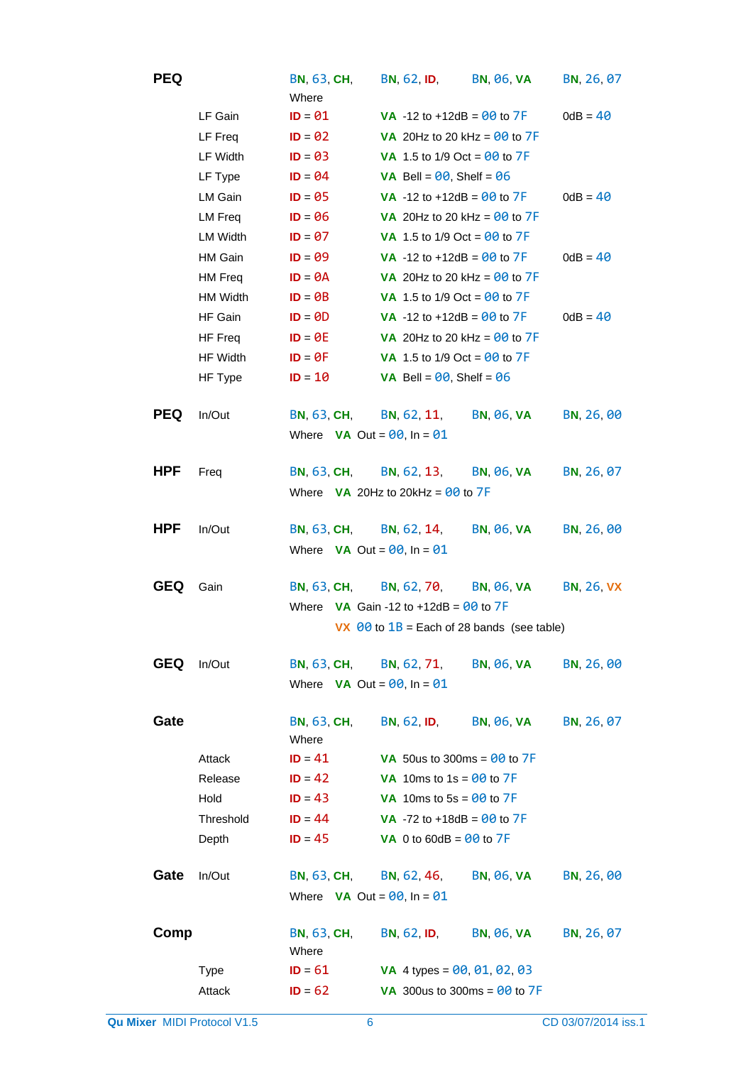| <b>PEQ</b> |                 | <b>BN, 63, CH,</b><br>Where       | <b>BN, 62, ID,</b>                             | <b>BN, 06, VA</b>                                        | BN, 26, 07        |
|------------|-----------------|-----------------------------------|------------------------------------------------|----------------------------------------------------------|-------------------|
|            | LF Gain         | $ID = 01$                         | <b>VA</b> -12 to +12dB = $90$ to $7F$          |                                                          | $0dB = 40$        |
|            | LF Freq         | $ID = 02$                         | VA 20Hz to 20 kHz = $00$ to $7F$               |                                                          |                   |
|            | LF Width        | $ID = 03$                         | <b>VA</b> 1.5 to 1/9 Oct = $90$ to 7F          |                                                          |                   |
|            | LF Type         | $ID = 04$                         | <b>VA</b> Bell = $00$ , Shelf = $06$           |                                                          |                   |
|            | LM Gain         | $ID = 05$                         | <b>VA</b> -12 to +12dB = $\frac{00}{00}$ to 7F |                                                          | $0dB = 40$        |
|            | LM Freq         | $ID = 06$                         | VA 20Hz to 20 kHz = $\theta\theta$ to $7F$     |                                                          |                   |
|            | <b>LM Width</b> | $ID = 07$                         | <b>VA</b> 1.5 to 1/9 Oct = $90$ to 7F          |                                                          |                   |
|            | <b>HM Gain</b>  | $ID = 09$                         | <b>VA</b> -12 to +12dB = $90$ to 7F            |                                                          | $0dB = 40$        |
|            | HM Freq         | $ID = \Theta A$                   | VA 20Hz to 20 kHz = $00$ to 7F                 |                                                          |                   |
|            | <b>HM Width</b> | $ID = \Theta B$                   | <b>VA</b> 1.5 to 1/9 Oct = $90$ to 7F          |                                                          |                   |
|            | HF Gain         | $ID = 0D$                         | <b>VA</b> -12 to +12dB = $00$ to $7F$          |                                                          | $0dB = 40$        |
|            | HF Freq         | $ID = \theta E$                   | VA 20Hz to 20 kHz = $00$ to 7F                 |                                                          |                   |
|            | HF Width        | $ID = \Theta F$                   | <b>VA</b> 1.5 to 1/9 Oct = $90$ to 7F          |                                                          |                   |
|            | HF Type         | $ID = 10$                         | <b>VA</b> Bell = $00$ , Shelf = $06$           |                                                          |                   |
| <b>PEQ</b> | In/Out          | <b>BN, 63, CH,</b>                | <b>BN, 62, 11,</b>                             | <b>BN, 06, VA</b>                                        | BN, 26, 00        |
|            |                 | Where $VA$ Out = $00$ , In = $01$ |                                                |                                                          |                   |
| <b>HPF</b> | Freq            | <b>BN, 63, CH,</b>                | <b>BN, 62, 13,</b>                             | <b>BN, 06, VA</b>                                        | BN, 26, 07        |
|            |                 |                                   | Where $VA$ 20Hz to 20kHz = $00$ to 7F          |                                                          |                   |
| <b>HPF</b> | In/Out          | <b>BN, 63, CH,</b>                | BN, 62, 14,                                    | <b>BN, 06, VA</b>                                        | BN, 26, 00        |
|            |                 | Where $VA$ Out = $00$ , In = $01$ |                                                |                                                          |                   |
| <b>GEQ</b> | Gain            | <b>BN, 63, CH,</b>                | <b>BN, 62, 70,</b>                             | <b>BN, 06, VA</b>                                        | <b>BN, 26, VX</b> |
|            |                 |                                   | Where $VA$ Gain -12 to +12dB = $00$ to 7F      |                                                          |                   |
|            |                 |                                   |                                                | VX $\theta\theta$ to $1B$ = Each of 28 bands (see table) |                   |
| <b>GEQ</b> | In/Out          | <b>BN, 63, CH,</b>                | BN, 62, 71,                                    | <b>BN, 06, VA</b>                                        | BN, 26, 00        |
|            |                 | Where $VA$ Out = $00$ , In = $01$ |                                                |                                                          |                   |
| Gate       |                 | <b>BN, 63, CH,</b><br>Where       | <b>BN, 62, ID,</b>                             | <b>BN, 06, VA</b>                                        | BN, 26, 07        |
|            | Attack          | $ID = 41$                         | VA 50us to 300ms = $00$ to $7F$                |                                                          |                   |
|            | Release         | $ID = 42$                         | VA 10ms to 1s = $00$ to 7F                     |                                                          |                   |
|            | Hold            | $ID = 43$                         | VA 10ms to $5s = 00$ to 7F                     |                                                          |                   |
|            | Threshold       | $ID = 44$                         | <b>VA</b> -72 to +18dB = $90$ to $7F$          |                                                          |                   |
|            | Depth           | $ID = 45$                         | <b>VA</b> 0 to 60dB = $00$ to 7F               |                                                          |                   |
| Gate       | In/Out          | <b>BN, 63, CH,</b>                | <b>BN, 62, 46,</b>                             | <b>BN, 06, VA</b>                                        | BN, 26, 00        |
|            |                 | Where $VA$ Out = $00$ , In = $01$ |                                                |                                                          |                   |
| Comp       |                 | <b>BN, 63, CH,</b><br>Where       | <b>BN, 62, ID,</b>                             | <b>BN, 06, VA</b>                                        | BN, 26, 07        |
|            | <b>Type</b>     | $ID = 61$                         | VA 4 types = $00, 01, 02, 03$                  |                                                          |                   |
|            | Attack          | $ID = 62$                         | VA 300us to 300ms = $90$ to 7F                 |                                                          |                   |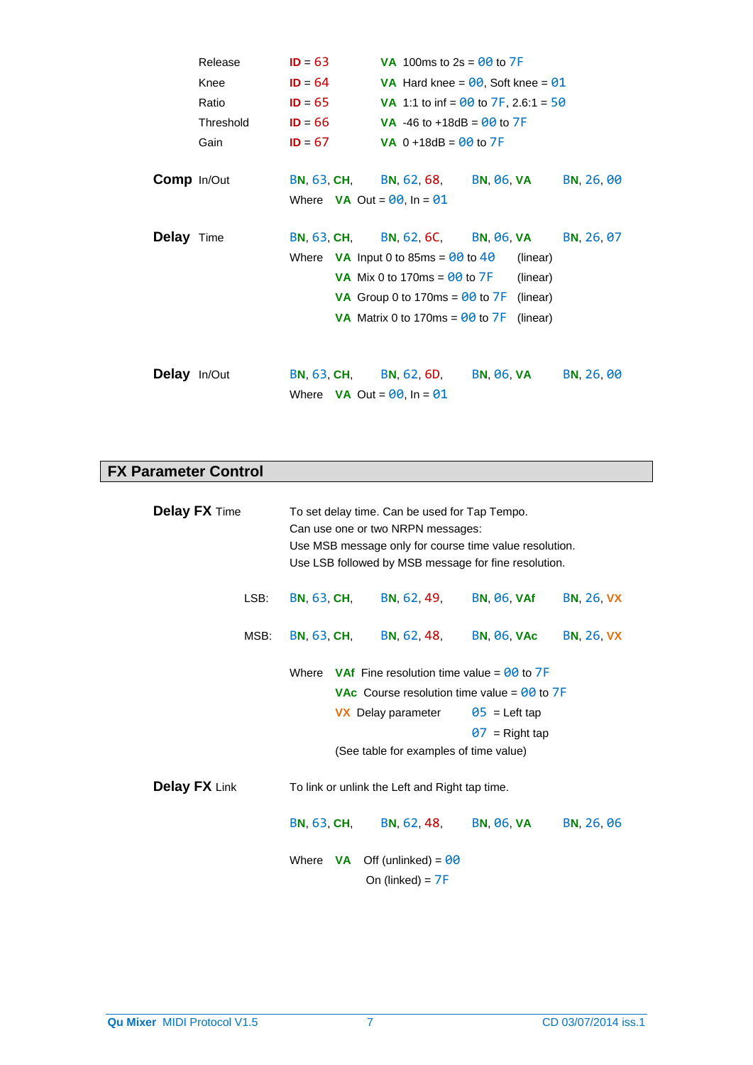|                     | Release   | $ID = 63$                         | <b>VA</b> 100ms to $2s = 00$ to 7F                       |                   |            |
|---------------------|-----------|-----------------------------------|----------------------------------------------------------|-------------------|------------|
|                     | Knee      | $ID = 64$                         | <b>VA</b> Hard knee = $00$ , Soft knee = $01$            |                   |            |
|                     | Ratio     | $ID = 65$                         | <b>VA</b> 1:1 to inf = $\frac{00}{00}$ to 7F, 2.6:1 = 50 |                   |            |
|                     | Threshold | $ID = 66$                         | <b>VA</b> -46 to +18dB = $00$ to $7F$                    |                   |            |
|                     | Gain      | $ID = 67$                         | VA $0 + 18dB = 00$ to $7F$                               |                   |            |
| <b>Comp</b> In/Out  |           | <b>BN, 63, CH, BN, 62, 68,</b>    |                                                          | BN, 06, VA        | BN, 26, 00 |
|                     |           | Where $VA$ Out = $00$ , In = $01$ |                                                          |                   |            |
| <b>Delay</b> Time   |           | <b>BN, 63, CH,</b>                | BN, 62, 6C,                                              | BN, 06, VA        | BN, 26, 07 |
|                     |           |                                   | Where $VA$ Input 0 to 85ms = $00$ to 40                  | (linear)          |            |
|                     |           |                                   | <b>VA</b> Mix 0 to 170ms = $\theta\theta$ to $7F$        | (linear)          |            |
|                     |           |                                   | VA Group 0 to 170ms = $00$ to 7F                         | (linear)          |            |
|                     |           |                                   | VA Matrix 0 to 170ms = $00$ to 7F                        | (linear)          |            |
|                     |           |                                   |                                                          |                   |            |
| <b>Delay</b> In/Out |           | BN, 63, CH, BN, 62, 6D,           |                                                          | <b>BN, 06, VA</b> | BN, 26, 00 |
|                     |           | Where $VA$ Out = $00$ , In = $01$ |                                                          |                   |            |

# **FX Parameter Control**

| <b>Delay FX Time</b>                                                   |      | To set delay time. Can be used for Tap Tempo.<br>Can use one or two NRPN messages:<br>Use MSB message only for course time value resolution.<br>Use LSB followed by MSB message for fine resolution. |                                                                                                                                         |                                           |                   |  |
|------------------------------------------------------------------------|------|------------------------------------------------------------------------------------------------------------------------------------------------------------------------------------------------------|-----------------------------------------------------------------------------------------------------------------------------------------|-------------------------------------------|-------------------|--|
|                                                                        | LSB: | <b>BN, 63, CH,</b>                                                                                                                                                                                   | BN, 62, 49,                                                                                                                             | <b>BN, 06, VAf</b>                        | <b>BN, 26, VX</b> |  |
|                                                                        | MSB: |                                                                                                                                                                                                      | BN, 63, CH, BN, 62, 48,                                                                                                                 | BN, 06, VAc                               | <b>BN, 26, VX</b> |  |
| Where <b>VAf</b> Fine resolution time value = $\frac{00}{00}$ to $7$ F |      |                                                                                                                                                                                                      | <b>VAc</b> Course resolution time value = $\theta\theta$ to $7F$<br><b>VX</b> Delay parameter<br>(See table for examples of time value) | $\theta$ 5 = Left tap<br>$07$ = Right tap |                   |  |
| <b>Delay FX Link</b>                                                   |      | To link or unlink the Left and Right tap time.                                                                                                                                                       |                                                                                                                                         |                                           |                   |  |
|                                                                        |      |                                                                                                                                                                                                      | BN, 63, CH, BN, 62, 48,                                                                                                                 | <b>BN, 06, VA</b>                         | BN, 26, 06        |  |
|                                                                        |      |                                                                                                                                                                                                      | Where $VA$ Off (unlinked) = $00$<br>On (linked) = $7F$                                                                                  |                                           |                   |  |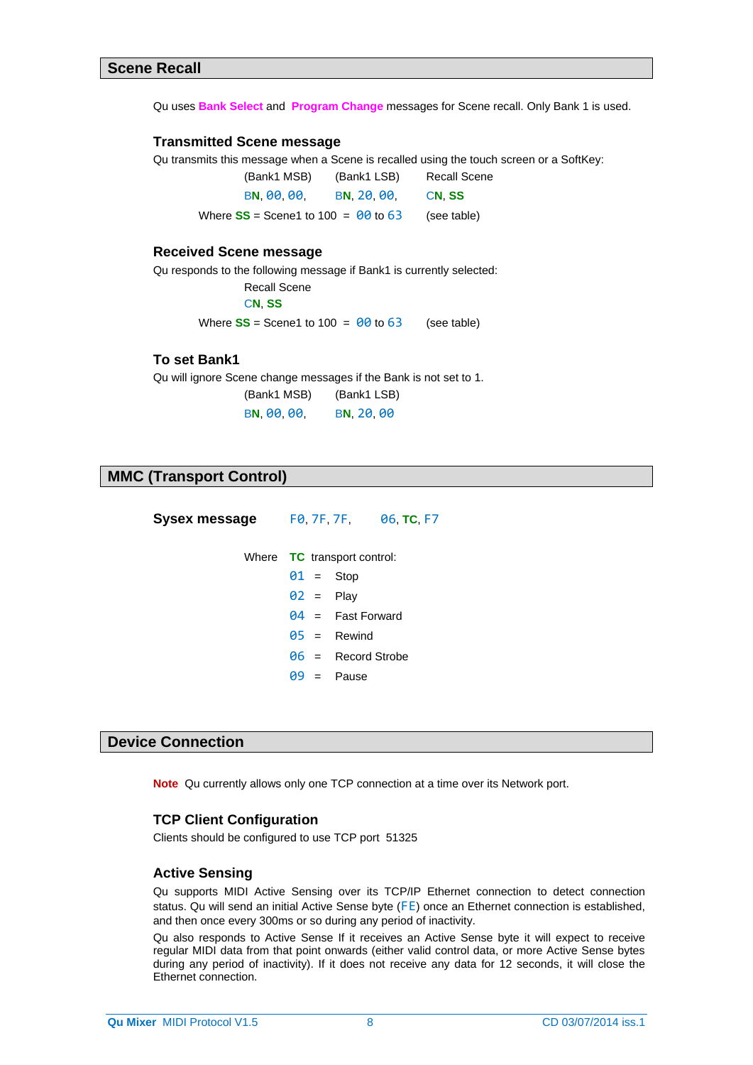Qu uses **Bank Select** and **Program Change** messages for Scene recall. Only Bank 1 is used.

#### **Transmitted Scene message**

Qu transmits this message when a Scene is recalled using the touch screen or a SoftKey:

(Bank1 MSB) (Bank1 LSB) Recall Scene B**N**, 00, 00, B**N**, 20, 00, C**N**, **SS** Where  $SS =$  Scene1 to 100 =  $\theta\theta$  to 63 (see table)

#### **Received Scene message**

Qu responds to the following message if Bank1 is currently selected:

Recall Scene

C**N**, **SS**

Where  $SS =$  Scene1 to 100 =  $\theta\theta$  to 63 (see table)

# **To set Bank1**

Qu will ignore Scene change messages if the Bank is not set to 1.

(Bank1 MSB) (Bank1 LSB)

B**N**, 00, 00, B**N**, 20, 00

# **MMC (Transport Control)**

| Sysex message |              | FO. 7F. 7F. 06. TC. F7             |
|---------------|--------------|------------------------------------|
|               |              | Where <b>TC</b> transport control: |
|               | $01 =$ Stop  |                                    |
|               | $02 =$ Play  |                                    |
|               |              | $94 =$ Fast Forward                |
|               |              | $\theta$ 5 = Rewind                |
|               |              | $\theta$ 6 = Record Strobe         |
|               | $99 =$ Pause |                                    |
|               |              |                                    |

# **Device Connection**

**Note** Qu currently allows only one TCP connection at a time over its Network port.

#### **TCP Client Configuration**

Clients should be configured to use TCP port 51325

#### **Active Sensing**

Qu supports MIDI Active Sensing over its TCP/IP Ethernet connection to detect connection status. Qu will send an initial Active Sense byte (FE) once an Ethernet connection is established, and then once every 300ms or so during any period of inactivity.

Qu also responds to Active Sense If it receives an Active Sense byte it will expect to receive regular MIDI data from that point onwards (either valid control data, or more Active Sense bytes during any period of inactivity). If it does not receive any data for 12 seconds, it will close the Ethernet connection.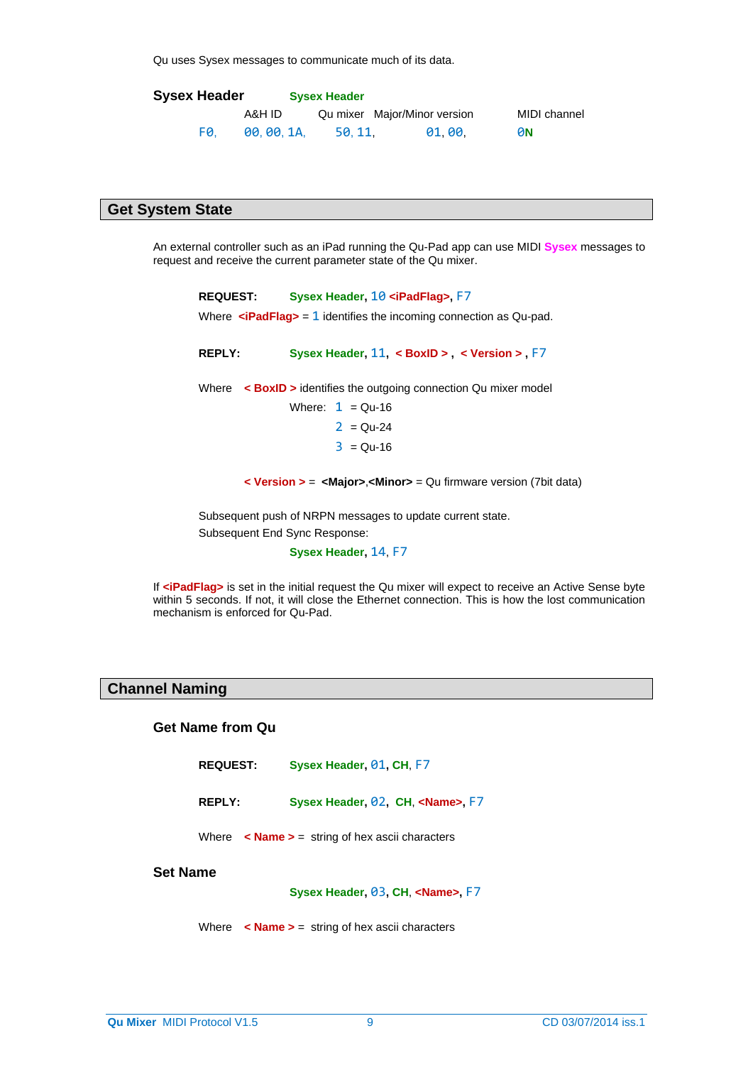Qu uses Sysex messages to communicate much of its data.

| <b>Sysex Header</b> |           | <b>Sysex Header</b> |                              |              |
|---------------------|-----------|---------------------|------------------------------|--------------|
|                     | A&H ID    |                     | Qu mixer Major/Minor version | MIDI channel |
| FØ.                 | 00.00.1A. | 50.11.              | 01.00.                       | <b>0N</b>    |

# **Get System State**

An external controller such as an iPad running the Qu-Pad app can use MIDI **Sysex** messages to request and receive the current parameter state of the Qu mixer.

| Sysex Header, 10 <ipadflag>, F7<br/><b>REQUEST:</b></ipadflag> |                                                                                              |  |  |  |  |  |  |
|----------------------------------------------------------------|----------------------------------------------------------------------------------------------|--|--|--|--|--|--|
|                                                                | Where $\leq$ <b>iPadFlag&gt;</b> = 1 identifies the incoming connection as Qu-pad.           |  |  |  |  |  |  |
|                                                                |                                                                                              |  |  |  |  |  |  |
| <b>REPLY:</b>                                                  | Sysex Header, $11 <$ BoxID > $\lt$ Version > F7                                              |  |  |  |  |  |  |
|                                                                | Where $\leq$ <b>BoxID</b> > identifies the outgoing connection Qu mixer model                |  |  |  |  |  |  |
|                                                                | Where: $1 = Qu-16$                                                                           |  |  |  |  |  |  |
|                                                                | $2 = Qu-24$                                                                                  |  |  |  |  |  |  |
|                                                                | $3 = Qu - 16$                                                                                |  |  |  |  |  |  |
|                                                                | <b>&lt; Version &gt; = <major>,<minor></minor></major></b> = Qu firmware version (7bit data) |  |  |  |  |  |  |
|                                                                | Subsequent push of NRPN messages to update current state.                                    |  |  |  |  |  |  |
| Subsequent End Sync Response:                                  |                                                                                              |  |  |  |  |  |  |
|                                                                | Sysex Header, 14, F7                                                                         |  |  |  |  |  |  |

If **<iPadFlag>** is set in the initial request the Qu mixer will expect to receive an Active Sense byte within 5 seconds. If not, it will close the Ethernet connection. This is how the lost communication mechanism is enforced for Qu-Pad.

# **Channel Naming**

#### **Get Name from Qu**

**REPLY: Sysex Header,** 02**, CH**, **<Name>,** F7

Where **< Name >** = string of hex ascii characters

# **Set Name**

**Sysex Header,** 03**, CH**, **<Name>,** F7

Where **< Name >** = string of hex ascii characters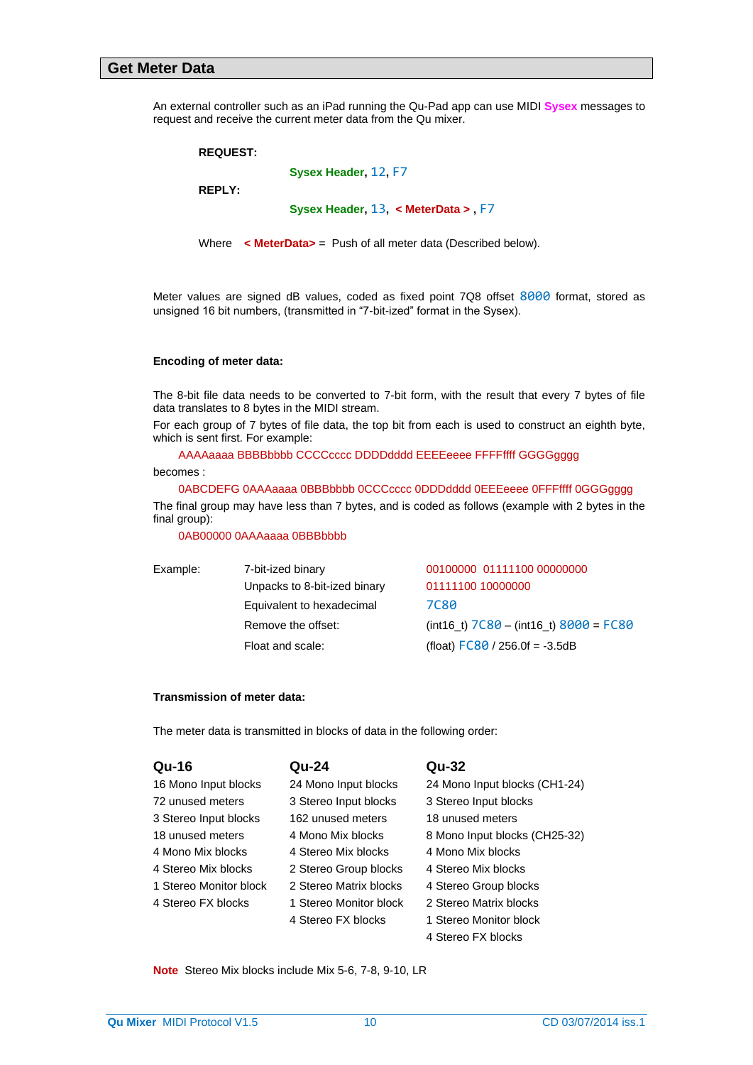#### **Get Meter Data**

An external controller such as an iPad running the Qu-Pad app can use MIDI **Sysex** messages to request and receive the current meter data from the Qu mixer.

| <b>REQUEST:</b> |                                          |
|-----------------|------------------------------------------|
|                 | Sysex Header, 12, F7                     |
| <b>REPLY:</b>   |                                          |
|                 | Sysex Header, $13 \times$ MeterData > F7 |
|                 |                                          |

Where **< MeterData>** = Push of all meter data (Described below).

Meter values are signed dB values, coded as fixed point 7Q8 offset 8000 format, stored as unsigned 16 bit numbers, (transmitted in "7-bit-ized" format in the Sysex).

#### **Encoding of meter data:**

The 8-bit file data needs to be converted to 7-bit form, with the result that every 7 bytes of file data translates to 8 bytes in the MIDI stream.

For each group of 7 bytes of file data, the top bit from each is used to construct an eighth byte, which is sent first. For example:

AAAAaaaa BBBBbbbb CCCCcccc DDDDdddd EEEEeeee FFFFffff GGGGgggg

becomes :

0ABCDEFG 0AAAaaaa 0BBBbbbb 0CCCcccc 0DDDdddd 0EEEeeee 0FFFffff 0GGGgggg

The final group may have less than 7 bytes, and is coded as follows (example with 2 bytes in the final group):

0AB00000 0AAAaaaa 0BBBbbbb

| Example: | 7-bit-ized binary            | 00100000 01111100 00000000                 |
|----------|------------------------------|--------------------------------------------|
|          | Unpacks to 8-bit-ized binary | 01111100 10000000                          |
|          | Equivalent to hexadecimal    | <b>7C80</b>                                |
|          | Remove the offset:           | $(int16_t)$ 7C80 - $(int16_t)$ 8000 = FC80 |
|          | Float and scale:             | (float) $FC80 / 256.0f = -3.5dB$           |

#### **Transmission of meter data:**

The meter data is transmitted in blocks of data in the following order:

| <b>Qu-16</b>           | Qu-24                  | Qu-32                         |
|------------------------|------------------------|-------------------------------|
| 16 Mono Input blocks   | 24 Mono Input blocks   | 24 Mono Input blocks (CH1-24) |
| 72 unused meters       | 3 Stereo Input blocks  | 3 Stereo Input blocks         |
| 3 Stereo Input blocks  | 162 unused meters      | 18 unused meters              |
| 18 unused meters       | 4 Mono Mix blocks      | 8 Mono Input blocks (CH25-32) |
| 4 Mono Mix blocks      | 4 Stereo Mix blocks    | 4 Mono Mix blocks             |
| 4 Stereo Mix blocks    | 2 Stereo Group blocks  | 4 Stereo Mix blocks           |
| 1 Stereo Monitor block | 2 Stereo Matrix blocks | 4 Stereo Group blocks         |
| 4 Stereo FX blocks     | 1 Stereo Monitor block | 2 Stereo Matrix blocks        |
|                        | 4 Stereo FX blocks     | 1 Stereo Monitor block        |
|                        |                        | 4 Stereo FX blocks            |

**Note** Stereo Mix blocks include Mix 5-6, 7-8, 9-10, LR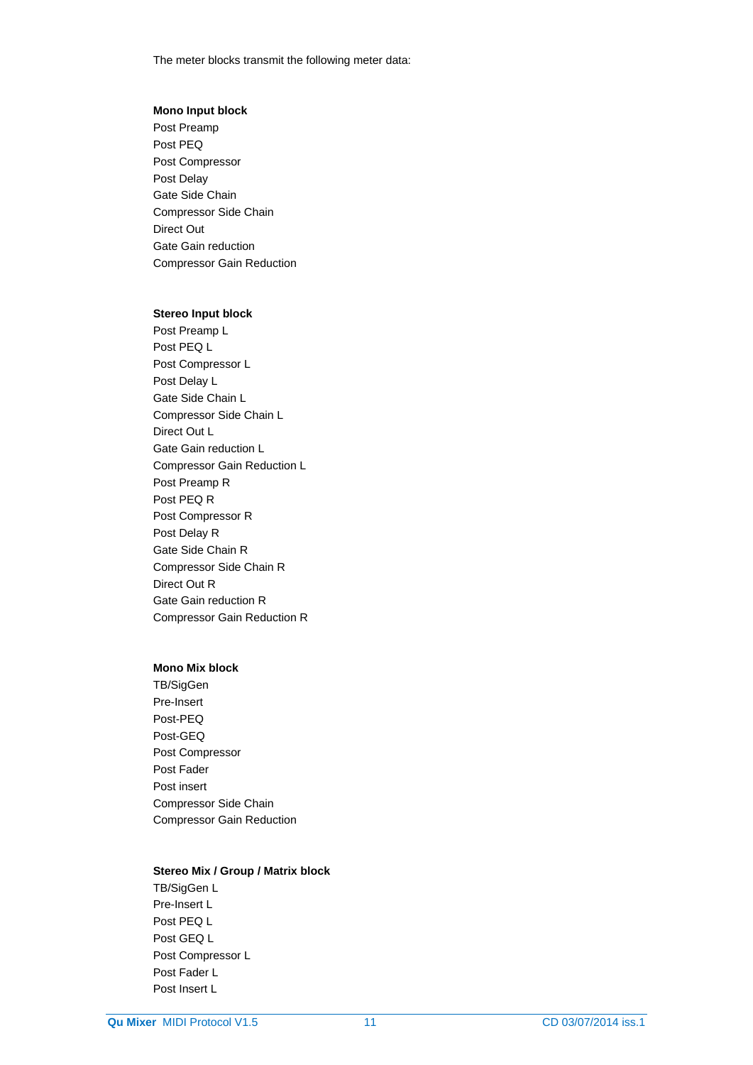The meter blocks transmit the following meter data:

#### **Mono Input block**

Post Preamp Post PEQ Post Compressor Post Delay Gate Side Chain Compressor Side Chain Direct Out Gate Gain reduction Compressor Gain Reduction

### **Stereo Input block**

Post Preamp L Post PEQ L Post Compressor L Post Delay L Gate Side Chain L Compressor Side Chain L Direct Out L Gate Gain reduction L Compressor Gain Reduction L Post Preamp R Post PEQ R Post Compressor R Post Delay R Gate Side Chain R Compressor Side Chain R Direct Out R Gate Gain reduction R Compressor Gain Reduction R

#### **Mono Mix block**

TB/SigGen Pre-Insert Post-PEQ Post-GEQ Post Compressor Post Fader Post insert Compressor Side Chain Compressor Gain Reduction

#### **Stereo Mix / Group / Matrix block**

TB/SigGen L Pre-Insert L Post PEQ L Post GEQ L Post Compressor L Post Fader L Post Insert L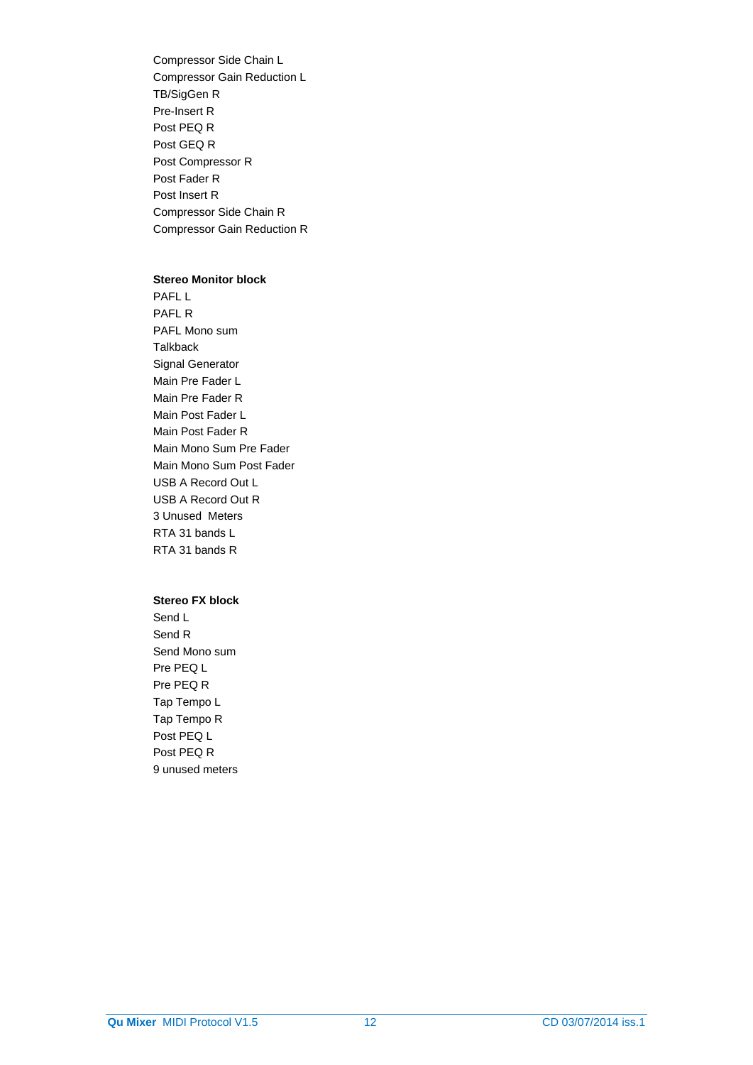Compressor Side Chain L Compressor Gain Reduction L TB/SigGen R Pre-Insert R Post PEQ R Post GEQ R Post Compressor R Post Fader R Post Insert R Compressor Side Chain R Compressor Gain Reduction R

#### **Stereo Monitor block**

PAFL L PAFL R PAFL Mono sum **Talkback** Signal Generator Main Pre Fader L Main Pre Fader R Main Post Fader L Main Post Fader R Main Mono Sum Pre Fader Main Mono Sum Post Fader USB A Record Out L USB A Record Out R 3 Unused Meters RTA 31 bands L RTA 31 bands R

### **Stereo FX block**

Send L Send R Send Mono sum Pre PEQ L Pre PEQ R Tap Tempo L Tap Tempo R Post PEQ L Post PEQ R 9 unused meters